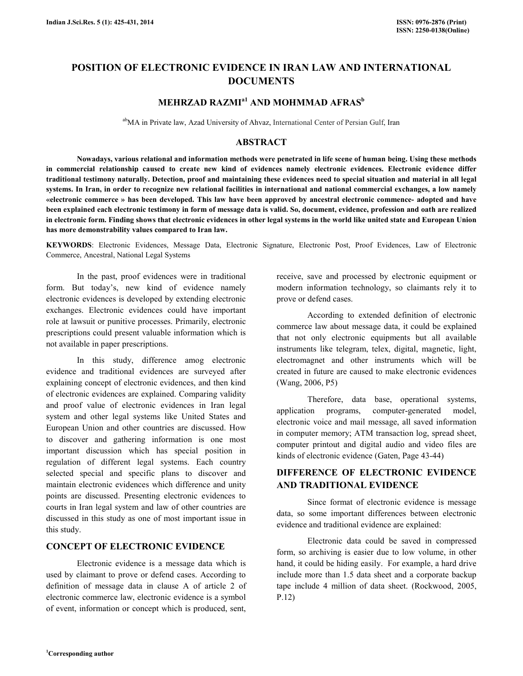# POSITION OF ELECTRONIC EVIDENCE IN IRAN LAW AND INTERNATIONAL **DOCUMENTS**

# MEHRZAD RAZMI<sup>a1</sup> AND MOHMMAD AFRAS<sup>b</sup>

abMA in Private law, Azad University of Ahvaz, International Center of Persian Gulf, Iran

### ABSTRACT

 Nowadays, various relational and information methods were penetrated in life scene of human being. Using these methods in commercial relationship caused to create new kind of evidences namely electronic evidences. Electronic evidence differ traditional testimony naturally. Detection, proof and maintaining these evidences need to special situation and material in all legal systems. In Iran, in order to recognize new relational facilities in international and national commercial exchanges, a low namely «electronic commerce » has been developed. This law have been approved by ancestral electronic commence- adopted and have been explained each electronic testimony in form of message data is valid. So, document, evidence, profession and oath are realized in electronic form. Finding shows that electronic evidences in other legal systems in the world like united state and European Union has more demonstrability values compared to Iran law.

KEYWORDS: Electronic Evidences, Message Data, Electronic Signature, Electronic Post, Proof Evidences, Law of Electronic Commerce, Ancestral, National Legal Systems

 In the past, proof evidences were in traditional form. But today's, new kind of evidence namely electronic evidences is developed by extending electronic exchanges. Electronic evidences could have important role at lawsuit or punitive processes. Primarily, electronic prescriptions could present valuable information which is not available in paper prescriptions.

 In this study, difference amog electronic evidence and traditional evidences are surveyed after explaining concept of electronic evidences, and then kind of electronic evidences are explained. Comparing validity and proof value of electronic evidences in Iran legal system and other legal systems like United States and European Union and other countries are discussed. How to discover and gathering information is one most important discussion which has special position in regulation of different legal systems. Each country selected special and specific plans to discover and maintain electronic evidences which difference and unity points are discussed. Presenting electronic evidences to courts in Iran legal system and law of other countries are discussed in this study as one of most important issue in this study.

# CONCEPT OF ELECTRONIC EVIDENCE

 Electronic evidence is a message data which is used by claimant to prove or defend cases. According to definition of message data in clause A of article 2 of electronic commerce law, electronic evidence is a symbol of event, information or concept which is produced, sent,

receive, save and processed by electronic equipment or modern information technology, so claimants rely it to prove or defend cases.

 According to extended definition of electronic commerce law about message data, it could be explained that not only electronic equipments but all available instruments like telegram, telex, digital, magnetic, light, electromagnet and other instruments which will be created in future are caused to make electronic evidences (Wang, 2006, P5)

 Therefore, data base, operational systems, application programs, computer-generated model, electronic voice and mail message, all saved information in computer memory; ATM transaction log, spread sheet, computer printout and digital audio and video files are kinds of electronic evidence (Gaten, Page 43-44)

# DIFFERENCE OF ELECTRONIC EVIDENCE AND TRADITIONAL EVIDENCE

 Since format of electronic evidence is message data, so some important differences between electronic evidence and traditional evidence are explained:

 Electronic data could be saved in compressed form, so archiving is easier due to low volume, in other hand, it could be hiding easily. For example, a hard drive include more than 1.5 data sheet and a corporate backup tape include 4 million of data sheet. (Rockwood, 2005, P.12)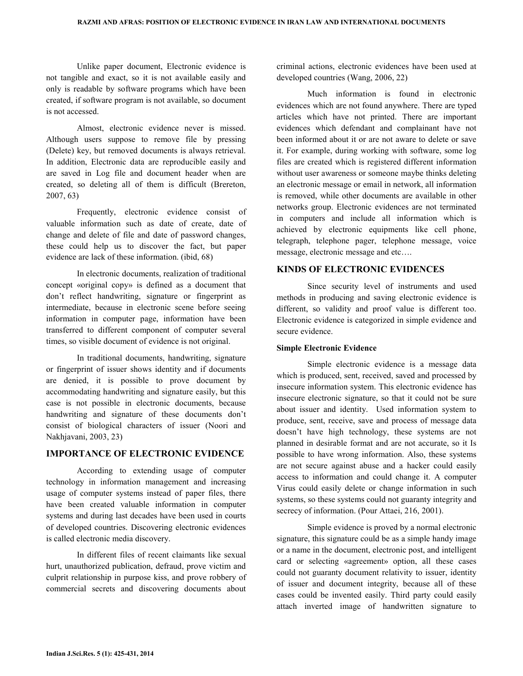Unlike paper document, Electronic evidence is not tangible and exact, so it is not available easily and only is readable by software programs which have been created, if software program is not available, so document is not accessed.

 Almost, electronic evidence never is missed. Although users suppose to remove file by pressing (Delete) key, but removed documents is always retrieval. In addition, Electronic data are reproducible easily and are saved in Log file and document header when are created, so deleting all of them is difficult (Brereton, 2007, 63)

 Frequently, electronic evidence consist of valuable information such as date of create, date of change and delete of file and date of password changes, these could help us to discover the fact, but paper evidence are lack of these information. (ibid, 68)

 In electronic documents, realization of traditional concept «original copy» is defined as a document that don't reflect handwriting, signature or fingerprint as intermediate, because in electronic scene before seeing information in computer page, information have been transferred to different component of computer several times, so visible document of evidence is not original.

 In traditional documents, handwriting, signature or fingerprint of issuer shows identity and if documents are denied, it is possible to prove document by accommodating handwriting and signature easily, but this case is not possible in electronic documents, because handwriting and signature of these documents don't consist of biological characters of issuer (Noori and Nakhjavani, 2003, 23)

### IMPORTANCE OF ELECTRONIC EVIDENCE

 According to extending usage of computer technology in information management and increasing usage of computer systems instead of paper files, there have been created valuable information in computer systems and during last decades have been used in courts of developed countries. Discovering electronic evidences is called electronic media discovery.

 In different files of recent claimants like sexual hurt, unauthorized publication, defraud, prove victim and culprit relationship in purpose kiss, and prove robbery of commercial secrets and discovering documents about

criminal actions, electronic evidences have been used at developed countries (Wang, 2006, 22)

 Much information is found in electronic evidences which are not found anywhere. There are typed articles which have not printed. There are important evidences which defendant and complainant have not been informed about it or are not aware to delete or save it. For example, during working with software, some log files are created which is registered different information without user awareness or someone maybe thinks deleting an electronic message or email in network, all information is removed, while other documents are available in other networks group. Electronic evidences are not terminated in computers and include all information which is achieved by electronic equipments like cell phone, telegraph, telephone pager, telephone message, voice message, electronic message and etc….

# KINDS OF ELECTRONIC EVIDENCES

 Since security level of instruments and used methods in producing and saving electronic evidence is different, so validity and proof value is different too. Electronic evidence is categorized in simple evidence and secure evidence.

### Simple Electronic Evidence

 Simple electronic evidence is a message data which is produced, sent, received, saved and processed by insecure information system. This electronic evidence has insecure electronic signature, so that it could not be sure about issuer and identity. Used information system to produce, sent, receive, save and process of message data doesn't have high technology, these systems are not planned in desirable format and are not accurate, so it Is possible to have wrong information. Also, these systems are not secure against abuse and a hacker could easily access to information and could change it. A computer Virus could easily delete or change information in such systems, so these systems could not guaranty integrity and secrecy of information. (Pour Attaei, 216, 2001).

 Simple evidence is proved by a normal electronic signature, this signature could be as a simple handy image or a name in the document, electronic post, and intelligent card or selecting «agreement» option, all these cases could not guaranty document relativity to issuer, identity of issuer and document integrity, because all of these cases could be invented easily. Third party could easily attach inverted image of handwritten signature to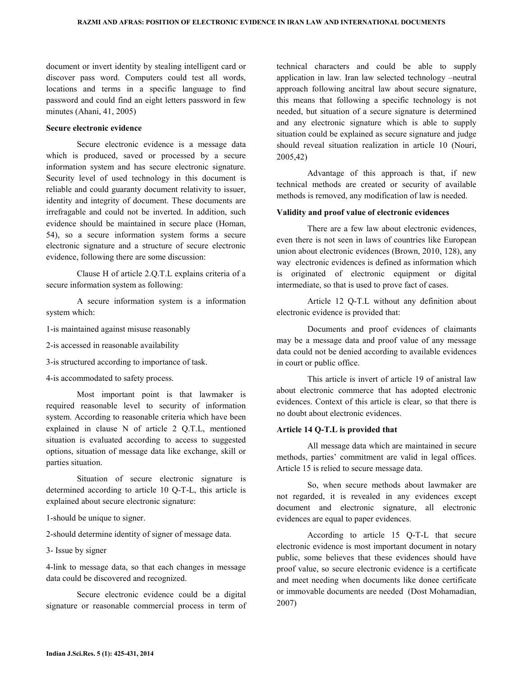document or invert identity by stealing intelligent card or discover pass word. Computers could test all words, locations and terms in a specific language to find password and could find an eight letters password in few minutes (Ahani, 41, 2005)

#### Secure electronic evidence

 Secure electronic evidence is a message data which is produced, saved or processed by a secure information system and has secure electronic signature. Security level of used technology in this document is reliable and could guaranty document relativity to issuer, identity and integrity of document. These documents are irrefragable and could not be inverted. In addition, such evidence should be maintained in secure place (Homan, 54), so a secure information system forms a secure electronic signature and a structure of secure electronic evidence, following there are some discussion:

 Clause H of article 2.Q.T.L explains criteria of a secure information system as following:

 A secure information system is a information system which:

1-is maintained against misuse reasonably

2-is accessed in reasonable availability

3-is structured according to importance of task.

4-is accommodated to safety process.

 Most important point is that lawmaker is required reasonable level to security of information system. According to reasonable criteria which have been explained in clause N of article 2 Q.T.L, mentioned situation is evaluated according to access to suggested options, situation of message data like exchange, skill or parties situation.

 Situation of secure electronic signature is determined according to article 10 Q-T-L, this article is explained about secure electronic signature:

1-should be unique to signer.

2-should determine identity of signer of message data.

3- Issue by signer

4-link to message data, so that each changes in message data could be discovered and recognized.

 Secure electronic evidence could be a digital signature or reasonable commercial process in term of technical characters and could be able to supply application in law. Iran law selected technology –neutral approach following ancitral law about secure signature, this means that following a specific technology is not needed, but situation of a secure signature is determined and any electronic signature which is able to supply situation could be explained as secure signature and judge should reveal situation realization in article 10 (Nouri, 2005,42)

 Advantage of this approach is that, if new technical methods are created or security of available methods is removed, any modification of law is needed.

### Validity and proof value of electronic evidences

 There are a few law about electronic evidences, even there is not seen in laws of countries like European union about electronic evidences (Brown, 2010, 128), any way electronic evidences is defined as information which is originated of electronic equipment or digital intermediate, so that is used to prove fact of cases.

 Article 12 Q-T.L without any definition about electronic evidence is provided that:

 Documents and proof evidences of claimants may be a message data and proof value of any message data could not be denied according to available evidences in court or public office.

 This article is invert of article 19 of anistral law about electronic commerce that has adopted electronic evidences. Context of this article is clear, so that there is no doubt about electronic evidences.

#### Article 14 Q-T.L is provided that

 All message data which are maintained in secure methods, parties' commitment are valid in legal offices. Article 15 is relied to secure message data.

 So, when secure methods about lawmaker are not regarded, it is revealed in any evidences except document and electronic signature, all electronic evidences are equal to paper evidences.

 According to article 15 Q-T-L that secure electronic evidence is most important document in notary public, some believes that these evidences should have proof value, so secure electronic evidence is a certificate and meet needing when documents like donee certificate or immovable documents are needed (Dost Mohamadian, 2007)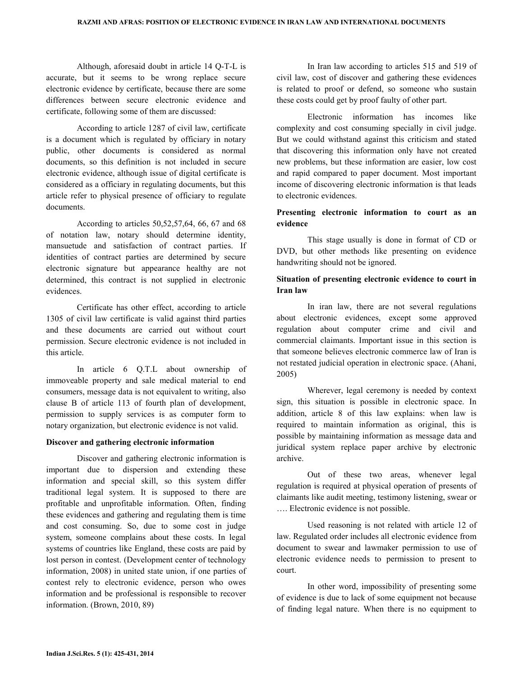Although, aforesaid doubt in article 14 Q-T-L is accurate, but it seems to be wrong replace secure electronic evidence by certificate, because there are some differences between secure electronic evidence and certificate, following some of them are discussed:

 According to article 1287 of civil law, certificate is a document which is regulated by officiary in notary public, other documents is considered as normal documents, so this definition is not included in secure electronic evidence, although issue of digital certificate is considered as a officiary in regulating documents, but this article refer to physical presence of officiary to regulate documents.

 According to articles 50,52,57,64, 66, 67 and 68 of notation law, notary should determine identity, mansuetude and satisfaction of contract parties. If identities of contract parties are determined by secure electronic signature but appearance healthy are not determined, this contract is not supplied in electronic evidences.

 Certificate has other effect, according to article 1305 of civil law certificate is valid against third parties and these documents are carried out without court permission. Secure electronic evidence is not included in this article.

 In article 6 Q.T.L about ownership of immoveable property and sale medical material to end consumers, message data is not equivalent to writing, also clause B of article 113 of fourth plan of development, permission to supply services is as computer form to notary organization, but electronic evidence is not valid.

### Discover and gathering electronic information

 Discover and gathering electronic information is important due to dispersion and extending these information and special skill, so this system differ traditional legal system. It is supposed to there are profitable and unprofitable information. Often, finding these evidences and gathering and regulating them is time and cost consuming. So, due to some cost in judge system, someone complains about these costs. In legal systems of countries like England, these costs are paid by lost person in contest. (Development center of technology information, 2008) in united state union, if one parties of contest rely to electronic evidence, person who owes information and be professional is responsible to recover information. (Brown, 2010, 89)

 In Iran law according to articles 515 and 519 of civil law, cost of discover and gathering these evidences is related to proof or defend, so someone who sustain these costs could get by proof faulty of other part.

 Electronic information has incomes like complexity and cost consuming specially in civil judge. But we could withstand against this criticism and stated that discovering this information only have not created new problems, but these information are easier, low cost and rapid compared to paper document. Most important income of discovering electronic information is that leads to electronic evidences.

# Presenting electronic information to court as an evidence

 This stage usually is done in format of CD or DVD, but other methods like presenting on evidence handwriting should not be ignored.

# Situation of presenting electronic evidence to court in Iran law

 In iran law, there are not several regulations about electronic evidences, except some approved regulation about computer crime and civil and commercial claimants. Important issue in this section is that someone believes electronic commerce law of Iran is not restated judicial operation in electronic space. (Ahani, 2005)

 Wherever, legal ceremony is needed by context sign, this situation is possible in electronic space. In addition, article 8 of this law explains: when law is required to maintain information as original, this is possible by maintaining information as message data and juridical system replace paper archive by electronic archive.

 Out of these two areas, whenever legal regulation is required at physical operation of presents of claimants like audit meeting, testimony listening, swear or …. Electronic evidence is not possible.

 Used reasoning is not related with article 12 of law. Regulated order includes all electronic evidence from document to swear and lawmaker permission to use of electronic evidence needs to permission to present to court.

 In other word, impossibility of presenting some of evidence is due to lack of some equipment not because of finding legal nature. When there is no equipment to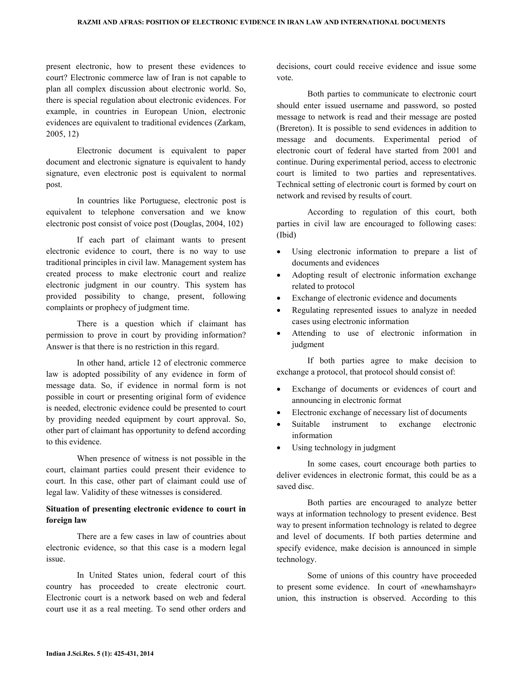present electronic, how to present these evidences to court? Electronic commerce law of Iran is not capable to plan all complex discussion about electronic world. So, there is special regulation about electronic evidences. For example, in countries in European Union, electronic evidences are equivalent to traditional evidences (Zarkam, 2005, 12)

 Electronic document is equivalent to paper document and electronic signature is equivalent to handy signature, even electronic post is equivalent to normal post.

 In countries like Portuguese, electronic post is equivalent to telephone conversation and we know electronic post consist of voice post (Douglas, 2004, 102)

 If each part of claimant wants to present electronic evidence to court, there is no way to use traditional principles in civil law. Management system has created process to make electronic court and realize electronic judgment in our country. This system has provided possibility to change, present, following complaints or prophecy of judgment time.

 There is a question which if claimant has permission to prove in court by providing information? Answer is that there is no restriction in this regard.

 In other hand, article 12 of electronic commerce law is adopted possibility of any evidence in form of message data. So, if evidence in normal form is not possible in court or presenting original form of evidence is needed, electronic evidence could be presented to court by providing needed equipment by court approval. So, other part of claimant has opportunity to defend according to this evidence.

 When presence of witness is not possible in the court, claimant parties could present their evidence to court. In this case, other part of claimant could use of legal law. Validity of these witnesses is considered.

# Situation of presenting electronic evidence to court in foreign law

 There are a few cases in law of countries about electronic evidence, so that this case is a modern legal issue.

 In United States union, federal court of this country has proceeded to create electronic court. Electronic court is a network based on web and federal court use it as a real meeting. To send other orders and decisions, court could receive evidence and issue some vote.

 Both parties to communicate to electronic court should enter issued username and password, so posted message to network is read and their message are posted (Brereton). It is possible to send evidences in addition to message and documents. Experimental period of electronic court of federal have started from 2001 and continue. During experimental period, access to electronic court is limited to two parties and representatives. Technical setting of electronic court is formed by court on network and revised by results of court.

 According to regulation of this court, both parties in civil law are encouraged to following cases: (Ibid)

- Using electronic information to prepare a list of documents and evidences
- Adopting result of electronic information exchange related to protocol
- Exchange of electronic evidence and documents
- Regulating represented issues to analyze in needed cases using electronic information
- Attending to use of electronic information in judgment

 If both parties agree to make decision to exchange a protocol, that protocol should consist of:

- Exchange of documents or evidences of court and announcing in electronic format
- Electronic exchange of necessary list of documents
- Suitable instrument to exchange electronic information
- Using technology in judgment

 In some cases, court encourage both parties to deliver evidences in electronic format, this could be as a saved disc.

 Both parties are encouraged to analyze better ways at information technology to present evidence. Best way to present information technology is related to degree and level of documents. If both parties determine and specify evidence, make decision is announced in simple technology.

 Some of unions of this country have proceeded to present some evidence. In court of «newhamshayr» union, this instruction is observed. According to this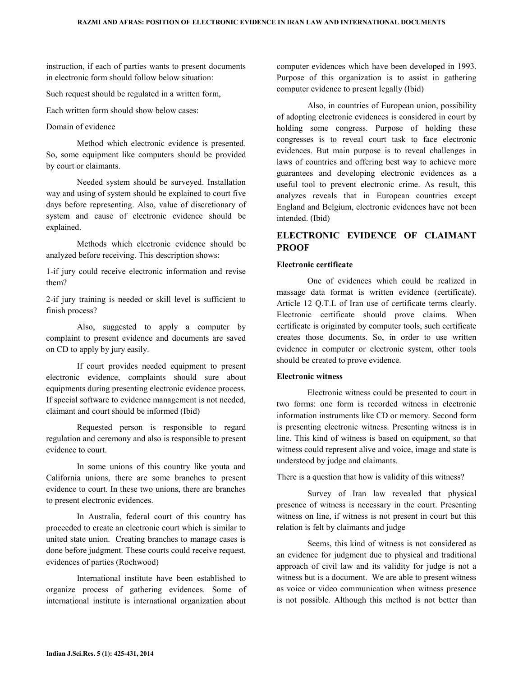instruction, if each of parties wants to present documents in electronic form should follow below situation:

Such request should be regulated in a written form,

Each written form should show below cases:

### Domain of evidence

 Method which electronic evidence is presented. So, some equipment like computers should be provided by court or claimants.

 Needed system should be surveyed. Installation way and using of system should be explained to court five days before representing. Also, value of discretionary of system and cause of electronic evidence should be explained.

 Methods which electronic evidence should be analyzed before receiving. This description shows:

1-if jury could receive electronic information and revise them?

2-if jury training is needed or skill level is sufficient to finish process?

 Also, suggested to apply a computer by complaint to present evidence and documents are saved on CD to apply by jury easily.

 If court provides needed equipment to present electronic evidence, complaints should sure about equipments during presenting electronic evidence process. If special software to evidence management is not needed, claimant and court should be informed (Ibid)

 Requested person is responsible to regard regulation and ceremony and also is responsible to present evidence to court.

 In some unions of this country like youta and California unions, there are some branches to present evidence to court. In these two unions, there are branches to present electronic evidences.

 In Australia, federal court of this country has proceeded to create an electronic court which is similar to united state union. Creating branches to manage cases is done before judgment. These courts could receive request, evidences of parties (Rochwood)

 International institute have been established to organize process of gathering evidences. Some of international institute is international organization about

computer evidences which have been developed in 1993. Purpose of this organization is to assist in gathering computer evidence to present legally (Ibid)

 Also, in countries of European union, possibility of adopting electronic evidences is considered in court by holding some congress. Purpose of holding these congresses is to reveal court task to face electronic evidences. But main purpose is to reveal challenges in laws of countries and offering best way to achieve more guarantees and developing electronic evidences as a useful tool to prevent electronic crime. As result, this analyzes reveals that in European countries except England and Belgium, electronic evidences have not been intended. (Ibid)

# ELECTRONIC EVIDENCE OF CLAIMANT PROOF

## Electronic certificate

 One of evidences which could be realized in massage data format is written evidence (certificate). Article 12 Q.T.L of Iran use of certificate terms clearly. Electronic certificate should prove claims. When certificate is originated by computer tools, such certificate creates those documents. So, in order to use written evidence in computer or electronic system, other tools should be created to prove evidence.

#### Electronic witness

 Electronic witness could be presented to court in two forms: one form is recorded witness in electronic information instruments like CD or memory. Second form is presenting electronic witness. Presenting witness is in line. This kind of witness is based on equipment, so that witness could represent alive and voice, image and state is understood by judge and claimants.

There is a question that how is validity of this witness?

 Survey of Iran law revealed that physical presence of witness is necessary in the court. Presenting witness on line, if witness is not present in court but this relation is felt by claimants and judge

 Seems, this kind of witness is not considered as an evidence for judgment due to physical and traditional approach of civil law and its validity for judge is not a witness but is a document. We are able to present witness as voice or video communication when witness presence is not possible. Although this method is not better than